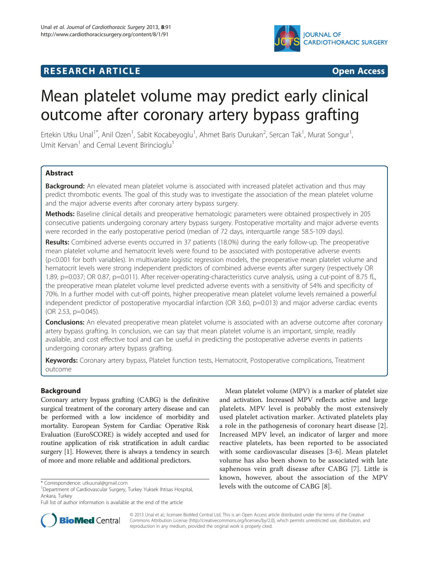

# **RESEARCH ARTICLE Example 2014 CONSIDERING CONSIDERING CONSIDERING CONSIDERING CONSIDERING CONSIDERING CONSIDERING CONSIDERING CONSIDERING CONSIDERING CONSIDERING CONSIDERING CONSIDERING CONSIDERING CONSIDERING CONSIDE**

# Mean platelet volume may predict early clinical outcome after coronary artery bypass grafting

Ertekin Utku Unal<sup>1\*</sup>, Anil Ozen<sup>1</sup>, Sabit Kocabeyoglu<sup>1</sup>, Ahmet Baris Durukan<sup>2</sup>, Sercan Tak<sup>1</sup>, Murat Songur<sup>1</sup> , Umit Kervan<sup>1</sup> and Cemal Levent Birincioglu<sup>1</sup>

# **Abstract**

Background: An elevated mean platelet volume is associated with increased platelet activation and thus may predict thrombotic events. The goal of this study was to investigate the association of the mean platelet volume and the major adverse events after coronary artery bypass surgery.

Methods: Baseline clinical details and preoperative hematologic parameters were obtained prospectively in 205 consecutive patients undergoing coronary artery bypass surgery. Postoperative mortality and major adverse events were recorded in the early postoperative period (median of 72 days, interquartile range 58.5-109 days).

Results: Combined adverse events occurred in 37 patients (18.0%) during the early follow-up. The preoperative mean platelet volume and hematocrit levels were found to be associated with postoperative adverse events (p<0.001 for both variables). In multivariate logistic regression models, the preoperative mean platelet volume and hematocrit levels were strong independent predictors of combined adverse events after surgery (respectively OR 1.89, p=0.037; OR 0.87, p=0.011). After receiver-operating-characteristics curve analysis, using a cut-point of 8.75 fL, the preoperative mean platelet volume level predicted adverse events with a sensitivity of 54% and specificity of 70%. In a further model with cut-off points, higher preoperative mean platelet volume levels remained a powerful independent predictor of postoperative myocardial infarction (OR 3.60, p=0.013) and major adverse cardiac events (OR 2.53, p=0.045).

**Conclusions:** An elevated preoperative mean platelet volume is associated with an adverse outcome after coronary artery bypass grafting. In conclusion, we can say that mean platelet volume is an important, simple, readily available, and cost effective tool and can be useful in predicting the postoperative adverse events in patients undergoing coronary artery bypass grafting.

Keywords: Coronary artery bypass, Platelet function tests, Hematocrit, Postoperative complications, Treatment outcome

# **Background**

Coronary artery bypass grafting (CABG) is the definitive surgical treatment of the coronary artery disease and can be performed with a low incidence of morbidity and mortality. European System for Cardiac Operative Risk Evaluation (EuroSCORE) is widely accepted and used for routine application of risk stratification in adult cardiac surgery [\[1](#page-5-0)]. However, there is always a tendency in search of more and more reliable and additional predictors.

Mean platelet volume (MPV) is a marker of platelet size and activation. Increased MPV reflects active and large platelets. MPV level is probably the most extensively used platelet activation marker. Activated platelets play a role in the pathogenesis of coronary heart disease [\[2](#page-5-0)]. Increased MPV level, an indicator of larger and more reactive platelets, has been reported to be associated with some cardiovascular diseases [[3](#page-5-0)-[6\]](#page-5-0). Mean platelet volume has also been shown to be associated with late saphenous vein graft disease after CABG [[7\]](#page-5-0). Little is known, however, about the association of the MPV \* Correspondence: [utkuunal@gmail.com](mailto:utkuunal@gmail.com)<br><sup>1</sup>Department of Cardiovascular Surgen: Turkey Yuksek Ibisas Hospital **1996 1996** levels with the outcome of CABG [[8](#page-5-0)].



© 2013 Unal et al.; licensee BioMed Central Ltd. This is an Open Access article distributed under the terms of the Creative Commons Attribution License [\(http://creativecommons.org/licenses/by/2.0\)](http://creativecommons.org/licenses/by/2.0), which permits unrestricted use, distribution, and reproduction in any medium, provided the original work is properly cited.

<sup>&</sup>lt;sup>1</sup>Department of Cardiovascular Surgery, Turkey Yuksek Ihtisas Hospital, Ankara, Turkey

Full list of author information is available at the end of the article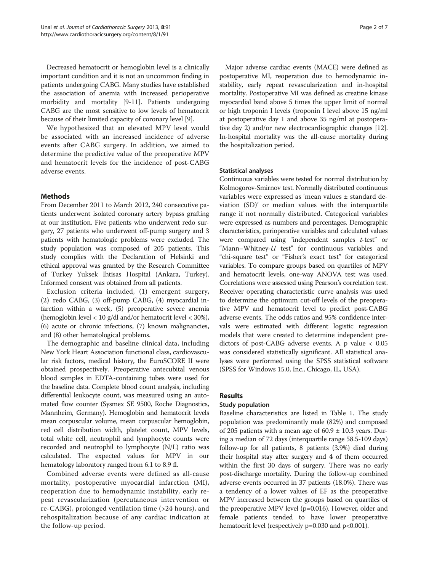Decreased hematocrit or hemoglobin level is a clinically important condition and it is not an uncommon finding in patients undergoing CABG. Many studies have established the association of anemia with increased perioperative morbidity and mortality [\[9](#page-5-0)[-11\]](#page-6-0). Patients undergoing CABG are the most sensitive to low levels of hematocrit because of their limited capacity of coronary level [[9\]](#page-5-0).

We hypothesized that an elevated MPV level would be associated with an increased incidence of adverse events after CABG surgery. In addition, we aimed to determine the predictive value of the preoperative MPV and hematocrit levels for the incidence of post-CABG adverse events.

# Methods

From December 2011 to March 2012, 240 consecutive patients underwent isolated coronary artery bypass grafting at our institution. Five patients who underwent redo surgery, 27 patients who underwent off-pump surgery and 3 patients with hematologic problems were excluded. The study population was composed of 205 patients. This study complies with the Declaration of Helsinki and ethical approval was granted by the Research Committee of Turkey Yuksek Ihtisas Hospital (Ankara, Turkey). Informed consent was obtained from all patients.

Exclusion criteria included, (1) emergent surgery, (2) redo CABG, (3) off-pump CABG, (4) myocardial infarction within a week, (5) preoperative severe anemia (hemoglobin level < 10 g/dl and/or hematocrit level < 30%), (6) acute or chronic infections, (7) known malignancies, and (8) other hematological problems.

The demographic and baseline clinical data, including New York Heart Association functional class, cardiovascular risk factors, medical history, the EuroSCORE II were obtained prospectively. Preoperative antecubital venous blood samples in EDTA-containing tubes were used for the baseline data. Complete blood count analysis, including differential leukocyte count, was measured using an automated flow counter (Sysmex SE 9500, Roche Diagnostics, Mannheim, Germany). Hemoglobin and hematocrit levels mean corpuscular volume, mean corpuscular hemoglobin, red cell distribution width, platelet count, MPV levels, total white cell, neutrophil and lymphocyte counts were recorded and neutrophil to lymphocyte (N/L) ratio was calculated. The expected values for MPV in our hematology laboratory ranged from 6.1 to 8.9 fl.

Combined adverse events were defined as all-cause mortality, postoperative myocardial infarction (MI), reoperation due to hemodynamic instability, early repeat revascularization (percutaneous intervention or re-CABG), prolonged ventilation time (>24 hours), and rehospitalization because of any cardiac indication at the follow-up period.

Major adverse cardiac events (MACE) were defined as postoperative MI, reoperation due to hemodynamic instability, early repeat revascularization and in-hospital mortality. Postoperative MI was defined as creatine kinase myocardial band above 5 times the upper limit of normal or high troponin I levels (troponin I level above 15 ng/ml at postoperative day 1 and above 35 ng/ml at postoperative day 2) and/or new electrocardiographic changes [[12](#page-6-0)]. In-hospital mortality was the all-cause mortality during the hospitalization period.

## Statistical analyses

Continuous variables were tested for normal distribution by Kolmogorov-Smirnov test. Normally distributed continuous variables were expressed as 'mean values ± standard deviation (SD)' or median values with the interquartile range if not normally distributed. Categorical variables were expressed as numbers and percentages. Demographic characteristics, perioperative variables and calculated values were compared using "independent samples t-test" or "Mann-Whitney-U test" for continuous variables and "chi-square test" or "Fisher's exact test" for categorical variables. To compare groups based on quartiles of MPV and hematocrit levels, one-way ANOVA test was used. Correlations were assessed using Pearson's correlation test. Receiver operating characteristic curve analysis was used to determine the optimum cut-off levels of the preoperative MPV and hematocrit level to predict post-CABG adverse events. The odds ratios and 95% confidence intervals were estimated with different logistic regression models that were created to determine independent predictors of post-CABG adverse events. A p value < 0.05 was considered statistically significant. All statistical analyses were performed using the SPSS statistical software (SPSS for Windows 15.0, Inc., Chicago, IL, USA).

# Results

# Study population

Baseline characteristics are listed in Table [1.](#page-2-0) The study population was predominantly male (82%) and composed of 205 patients with a mean age of  $60.9 \pm 10.3$  years. During a median of 72 days (interquartile range 58.5-109 days) follow-up for all patients, 8 patients (3.9%) died during their hospital stay after surgery and 4 of them occurred within the first 30 days of surgery. There was no early post-discharge mortality. During the follow-up combined adverse events occurred in 37 patients (18.0%). There was a tendency of a lower values of EF as the preoperative MPV increased between the groups based on quartiles of the preoperative MPV level (p=0.016). However, older and female patients tended to have lower preoperative hematocrit level (respectively p=0.030 and p<0.001).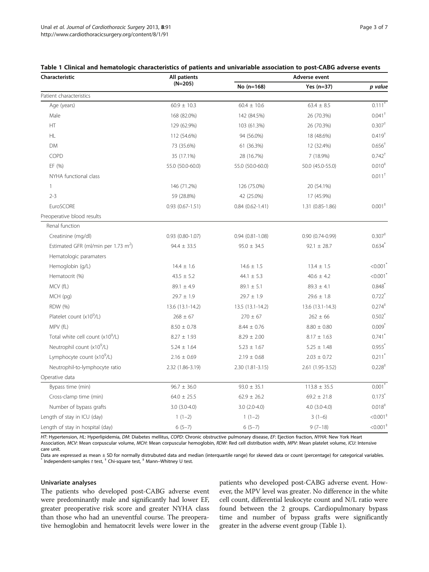#### <span id="page-2-0"></span>Table 1 Clinical and hematologic characteristics of patients and univariable association to post-CABG adverse events

| Characteristic                                  | <b>All patients</b>    | Adverse event       |                   |                        |  |
|-------------------------------------------------|------------------------|---------------------|-------------------|------------------------|--|
|                                                 | $(N=205)$              | No (n=168)          | Yes (n=37)        | p value                |  |
| Patient characteristics                         |                        |                     |                   |                        |  |
| Age (years)                                     | $60.9 \pm 10.3$        | $60.4 \pm 10.6$     | $63.4 \pm 8.5$    | $0.111*$               |  |
| Male                                            | 168 (82.0%)            | 142 (84.5%)         | 26 (70.3%)        | $0.041$ <sup>+</sup>   |  |
| HT                                              | 129 (62.9%)            | 103 (61.3%)         | 26 (70.3%)        | 0.307 <sup>†</sup>     |  |
| HL.                                             | 112 (54.6%)            | 94 (56.0%)          | 18 (48.6%)        | $0.419^{+}$            |  |
| <b>DM</b>                                       | 73 (35.6%)             | 61 (36.3%)          | 12 (32.4%)        | $0.656^+$              |  |
| COPD                                            | 35 (17.1%)             | 28 (16.7%)          | 7 (18.9%)         | $0.742$ <sup>+</sup>   |  |
| EF (%)                                          | 55.0 (50.0-60.0)       | 55.0 (50.0-60.0)    | 50.0 (45.0-55.0)  | 0.010 <sup>‡</sup>     |  |
| NYHA functional class                           |                        |                     |                   | $0.011^+$              |  |
| $\mathbf{1}$                                    | 146 (71.2%)            | 126 (75.0%)         | 20 (54.1%)        |                        |  |
| $2 - 3$                                         | 59 (28.8%)             | 42 (25.0%)          | 17 (45.9%)        |                        |  |
| EuroSCORE                                       | $0.93(0.67-1.51)$      | $0.84(0.62 - 1.41)$ | 1.31 (0.85-1.86)  | 0.001 <sup>‡</sup>     |  |
| Preoperative blood results                      |                        |                     |                   |                        |  |
| Renal function                                  |                        |                     |                   |                        |  |
| Creatinine (mg/dl)                              | $0.93$ $(0.80 - 1.07)$ | $0.94(0.81 - 1.08)$ | $0.90(0.74-0.99)$ | $0.307^+$              |  |
| Estimated GFR (ml/min per 1.73 m <sup>2</sup> ) | $94.4 \pm 33.5$        | $95.0 \pm 34.5$     | $92.1 \pm 28.7$   | $0.634$ <sup>*</sup>   |  |
| Hematologic paramaters                          |                        |                     |                   |                        |  |
| Hemoglobin (g/L)                                | $14.4 \pm 1.6$         | $14.6 \pm 1.5$      | $13.4 \pm 1.5$    | < 0.001                |  |
| Hematocrit (%)                                  | $43.5 \pm 5.2$         | $44.1 \pm 5.3$      | $40.6 \pm 4.2$    | $< 0.001$ <sup>*</sup> |  |
| MCV (fL)                                        | $89.1 \pm 4.9$         | $89.1 \pm 5.1$      | $89.3 \pm 4.1$    | $0.848^{*}$            |  |
| MCH (pg)                                        | $29.7 \pm 1.9$         | $29.7 \pm 1.9$      | $29.6 \pm 1.8$    | $0.722$ <sup>*</sup>   |  |
| <b>RDW</b> (%)                                  | 13.6 (13.1-14.2)       | 13.5 (13.1-14.2)    | 13.6 (13.1-14.3)  | $0.274^{+}$            |  |
| Platelet count (x10 <sup>9</sup> /L)            | $268 \pm 67$           | $270 \pm 67$        | $262 \pm 66$      | 0.502                  |  |
| MPV (fL)                                        | $8.50 \pm 0.78$        | $8.44 \pm 0.76$     | $8.80 \pm 0.80$   | $0.009$ <sup>*</sup>   |  |
| Total white cell count (x10 <sup>9</sup> /L)    | $8.27 \pm 1.93$        | $8.29 \pm 2.00$     | $8.17 \pm 1.63$   | $0.741$ <sup>*</sup>   |  |
| Neutrophil count (x10 <sup>9</sup> /L)          | $5.24 \pm 1.64$        | $5.23 \pm 1.67$     | $5.25 \pm 1.48$   | 0.955                  |  |
| Lymphocyte count (x10 <sup>9</sup> /L)          | $2.16 \pm 0.69$        | $2.19 \pm 0.68$     | $2.03 \pm 0.72$   | $0.211$ <sup>*</sup>   |  |
| Neutrophil-to-lymphocyte ratio                  | 2.32 (1.86-3.19)       | 2.30 (1.81-3.15)    | 2.61 (1.95-3.52)  | 0.228 <sup>‡</sup>     |  |
| Operative data                                  |                        |                     |                   |                        |  |
| Bypass time (min)                               | $96.7 \pm 36.0$        | $93.0 \pm 35.1$     | $113.8 \pm 35.5$  | $0.001$ <sup>*</sup>   |  |
| Cross-clamp time (min)                          | $64.0 \pm 25.5$        | $62.9 \pm 26.2$     | $69.2 \pm 21.8$   | $0.173$ <sup>*</sup>   |  |
| Number of bypass grafts                         | $3.0(3.0-4.0)$         | $3.0(2.0-4.0)$      | 4.0 (3.0-4.0)     | 0.018 <sup>‡</sup>     |  |
| Length of stay in ICU (day)                     | $1(1-2)$               | $1(1-2)$            | $3(1-6)$          | $< 0.001$ <sup>+</sup> |  |
| Length of stay in hospital (day)                | $6(5-7)$               | $6(5-7)$            | $9(7-18)$         | $< 0.001$ <sup>+</sup> |  |

HT: Hypertension, HL: Hyperlipidemia, DM: Diabetes mellitus, COPD: Chronic obstructive pulmonary disease, EF: Ejection fraction, NYHA: New York Heart Association, MCV: Mean corpuscular volume, MCH: Mean corpuscular hemoglobin, RDW: Red cell distribution width, MPV: Mean platelet volume, ICU: Intensive care unit.

Data are expressed as mean ± SD for normally distrubuted data and median (interquartile range) for skewed data or count (percentage) for categorical variables.<br>\* Independent-samples t test, <sup>†</sup> Chi-square test, <sup>‡</sup> Mann–Wh

#### Univariate analyses

The patients who developed post-CABG adverse event were predominantly male and significantly had lower EF, greater preoperative risk score and greater NYHA class than those who had an uneventful course. The preoperative hemoglobin and hematocrit levels were lower in the

patients who developed post-CABG adverse event. However, the MPV level was greater. No difference in the white cell count, differential leukocyte count and N/L ratio were found between the 2 groups. Cardiopulmonary bypass time and number of bypass grafts were significantly greater in the adverse event group (Table 1).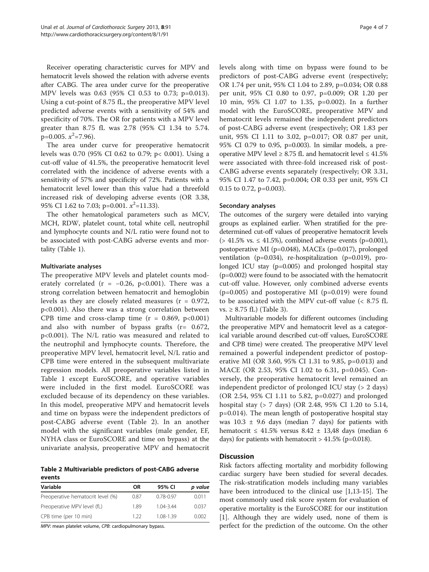Receiver operating characteristic curves for MPV and hematocrit levels showed the relation with adverse events after CABG. The area under curve for the preoperative MPV levels was 0.63 (95% CI 0.53 to 0.73; p=0.013). Using a cut-point of 8.75 fL, the preoperative MPV level predicted adverse events with a sensitivity of 54% and specificity of 70%. The OR for patients with a MPV level greater than 8.75 fL was 2.78 (95% CI 1.34 to 5.74.  $p=0.005. x^2=7.96$ ).

The area under curve for preoperative hematocrit levels was 0.70 (95% CI 0.62 to 0.79; p< 0.001). Using a cut-off value of 41.5%, the preoperative hematocrit level correlated with the incidence of adverse events with a sensitivity of 57% and specificity of 72%. Patients with a hematocrit level lower than this value had a threefold increased risk of developing adverse events (OR 3.38, 95% CI 1.62 to 7.03; p=0.001.  $x^2$ =11.33).

The other hematological parameters such as MCV, MCH, RDW, platelet count, total white cell, neutrophil and lymphocyte counts and N/L ratio were found not to be associated with post-CABG adverse events and mortality (Table [1](#page-2-0)).

#### Multivariate analyses

The preoperative MPV levels and platelet counts moderately correlated ( $r = -0.26$ , p<0.001). There was a strong correlation between hematocrit and hemoglobin levels as they are closely related measures  $(r = 0.972,$ p<0.001). Also there was a strong correlation between CPB time and cross-clamp time  $(r = 0.869, p < 0.001)$ and also with number of bypass grafts (r= 0.672, p<0.001). The N/L ratio was measured and related to the neutrophil and lymphocyte counts. Therefore, the preoperative MPV level, hematocrit level, N/L ratio and CPB time were entered in the subsequent multivariate regression models. All preoperative variables listed in Table [1](#page-2-0) except EuroSCORE, and operative variables were included in the first model. EuroSCORE was excluded because of its dependency on these variables. In this model, preoperative MPV and hematocrit levels and time on bypass were the independent predictors of post-CABG adverse event (Table 2). In an another model with the significant variables (male gender, EF, NYHA class or EuroSCORE and time on bypass) at the univariate analysis, preoperative MPV and hematocrit

Table 2 Multivariable predictors of post-CABG adverse events

| Variable                          | OR   | 95% CI        | p value |
|-----------------------------------|------|---------------|---------|
| Preoperative hematocrit level (%) | 0.87 | $0.78 - 0.97$ | 0.011   |
| Preoperative MPV level (fL)       | 189  | 1 04-3 44     | 0.037   |
| CPB time (per 10 min)             | 1 22 | 1.08-1.39     | 0.002   |

MPV: mean platelet volume, CPB: cardiopulmonary bypass.

levels along with time on bypass were found to be predictors of post-CABG adverse event (respectively; OR 1.74 per unit, 95% CI 1.04 to 2.89, p=0.034; OR 0.88 per unit, 95% CI 0.80 to 0.97, p=0.009; OR 1.20 per 10 min, 95% CI 1.07 to 1.35, p=0.002). In a further model with the EuroSCORE, preoperative MPV and hematocrit levels remained the independent predictors of post-CABG adverse event (respectively; OR 1.83 per unit, 95% CI 1.11 to 3.02, p=0.017; OR 0.87 per unit, 95% CI 0.79 to 0.95, p=0.003). In similar models, a preoperative MPV level ≥ 8.75 fL and hematocrit level  $≤$  41.5% were associated with three-fold increased risk of post-CABG adverse events separately (respectively; OR 3.31, 95% CI 1.47 to 7.42, p=0.004; OR 0.33 per unit, 95% CI 0.15 to 0.72, p=0.003).

#### Secondary analyses

The outcomes of the surgery were detailed into varying groups as explained earlier. When stratified for the predetermined cut-off values of preoperative hematocrit levels (> 41.5% vs. ≤ 41.5%), combined adverse events (p=0.001), postoperative MI (p=0.048), MACEs (p=0.017), prolonged ventilation (p=0.034), re-hospitalization (p=0.019), prolonged ICU stay (p=0.005) and prolonged hospital stay (p=0.002) were found to be associated with the hematocrit cut-off value. However, only combined adverse events (p=0.005) and postoperative MI (p=0.019) were found to be associated with the MPV cut-off value (< 8.75 fL vs.  $\geq$  8.75 fL) (Table [3](#page-4-0)).

Multivariable models for different outcomes (including the preoperative MPV and hematocrit level as a categorical variable around described cut-off values, EuroSCORE and CPB time) were created. The preoperative MPV level remained a powerful independent predictor of postoperative MI (OR 3.60, 95% CI 1.31 to 9.85, p=0.013) and MACE (OR 2.53, 95% CI 1.02 to 6.31, p=0.045). Conversely, the preoperative hematocrit level remained an independent predictor of prolonged ICU stay (> 2 days) (OR 2.54, 95% CI 1.11 to 5.82, p=0.027) and prolonged hospital stay (> 7 days) (OR 2.48, 95% CI 1.20 to 5.14, p=0.014). The mean length of postoperative hospital stay was  $10.3 \pm 9.6$  days (median 7 days) for patients with hematocrit  $\leq$  41.5% versus 8.42  $\pm$  13,48 days (median 6 days) for patients with hematocrit  $> 41.5\%$  (p=0.018).

#### **Discussion**

Risk factors affecting mortality and morbidity following cardiac surgery have been studied for several decades. The risk-stratification models including many variables have been introduced to the clinical use [[1,](#page-5-0)[13-15\]](#page-6-0). The most commonly used risk score system for evaluation of operative mortality is the EuroSCORE for our institution [[1\]](#page-5-0). Although they are widely used, none of them is perfect for the prediction of the outcome. On the other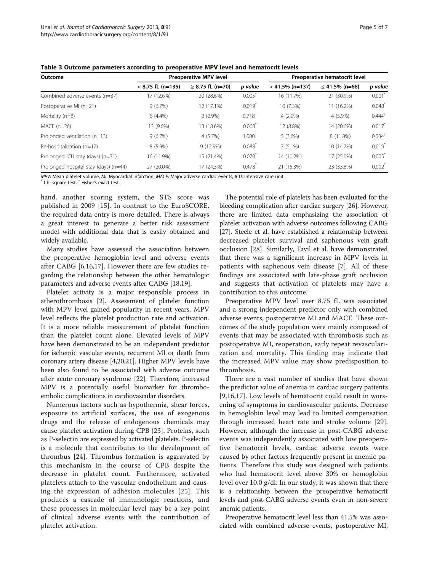<span id="page-4-0"></span>Table 3 Outcome parameters according to preoperative MPV level and hematocrit levels

| Outcome                               | <b>Preoperative MPV level</b> |                       |                      | Preoperative hematocrit level |                  |                      |
|---------------------------------------|-------------------------------|-----------------------|----------------------|-------------------------------|------------------|----------------------|
|                                       | $< 8.75$ fL (n=135)           | $\geq$ 8.75 fL (n=70) | p value              | $> 41.5\%$ (n=137)            | $<$ 41.5% (n=68) | p value              |
| Combined adverse events (n=37)        | 17 (12.6%)                    | 20 (28.6%)            | 0.005                | 16 (11.7%)                    | 21 (30.9%)       | 0.001                |
| Postoperative MI (n=21)               | 9(6.7%)                       | 12 (17.1%)            | 0.019                | 10(7.3%)                      | 11 (16.2%)       | 0.048                |
| Mortality $(n=8)$                     | $6(4.4\%)$                    | $2(2.9\%)$            | $0.718^{+}$          | $4(2.9\%)$                    | 4 (5.9%)         | $0.444^{\dagger}$    |
| $MACE$ (n=26)                         | 13 (9.6%)                     | 13 (18.6%)            | 0.068                | 12 (8.8%)                     | 14 (20.6%)       | 0.017                |
| Prolonged ventilation (n=13)          | 9(6.7%)                       | 4(5.7%)               | 1.000 <sup>†</sup>   | 5(3.6%)                       | 8 (11.8%)        | $0.034$ <sup>†</sup> |
| Re-hospitalization (n=17)             | 8 (5.9%)                      | $9(12.9\%)$           | 0.088                | $7(5.1\%)$                    | 10 (14.7%)       | $0.019$ <sup>*</sup> |
| Prolonged ICU stay (days) (n=31)      | 16 (11.9%)                    | 15 (21.4%)            | 0.070                | 14 (10.2%)                    | 17 (25.0%)       | $0.005^{\degree}$    |
| Prolonged hospital stay (days) (n=44) | 27 (20.0%)                    | 17 (24.3%)            | $0.478$ <sup>*</sup> | 21 (15.3%)                    | 23 (33.8%)       | 0.002                |

MPV: Mean platelet volume, MI: Myocardial infarction, MACE: Major adverse cardiac events, ICU: Intensive care unit.<br>\* Chi-square test, † Fisher's exact test.

hand, another scoring system, the STS score was published in 2009 [\[15\]](#page-6-0). In contrast to the EuroSCORE, the required data entry is more detailed. There is always a great interest to generate a better risk assessment model with additional data that is easily obtained and widely available.

Many studies have assessed the association between the preoperative hemoglobin level and adverse events after CABG [\[6,](#page-5-0)[16,17\]](#page-6-0). However there are few studies regarding the relationship between the other hematologic parameters and adverse events after CABG [\[18,19](#page-6-0)].

Platelet activity is a major responsible process in atherothrombosis [\[2](#page-5-0)]. Assessment of platelet function with MPV level gained popularity in recent years. MPV level reflects the platelet production rate and activation. It is a more reliable measurement of platelet function than the platelet count alone. Elevated levels of MPV have been demonstrated to be an independent predictor for ischemic vascular events, recurrent MI or death from coronary artery disease [[4,](#page-5-0)[20,21\]](#page-6-0). Higher MPV levels have been also found to be associated with adverse outcome after acute coronary syndrome [\[22\]](#page-6-0). Therefore, increased MPV is a potentially useful biomarker for thromboembolic complications in cardiovascular disorders.

Numerous factors such as hypothermia, shear forces, exposure to artificial surfaces, the use of exogenous drugs and the release of endogenous chemicals may cause platelet activation during CPB [[23\]](#page-6-0). Proteins, such as P-selectin are expressed by activated platelets. P-selectin is a molecule that contributes to the development of thrombus [\[24\]](#page-6-0). Thrombus formation is aggravated by this mechanism in the course of CPB despite the decrease in platelet count. Furthermore, activated platelets attach to the vascular endothelium and causing the expression of adhesion molecules [[25](#page-6-0)]. This produces a cascade of immunologic reactions, and these processes in molecular level may be a key point of clinical adverse events with the contribution of platelet activation.

The potential role of platelets has been evaluated for the bleeding complication after cardiac surgery [[26](#page-6-0)]. However, there are limited data emphasizing the association of platelet activation with adverse outcomes following CABG [[27](#page-6-0)]. Steele et al. have established a relationship between decreased platelet survival and saphenous vein graft occlusion [[28\]](#page-6-0). Similarly, Tavil et al. have demonstrated that there was a significant increase in MPV levels in patients with saphenous vein disease [\[7](#page-5-0)]. All of these findings are associated with late-phase graft occlusion and suggests that activation of platelets may have a contribution to this outcome.

Preoperative MPV level over 8.75 fL was associated and a strong independent predictor only with combined adverse events, postoperative MI and MACE. These outcomes of the study population were mainly composed of events that may be associated with thrombosis such as postoperative MI, reoperation, early repeat revascularization and mortality. This finding may indicate that the increased MPV value may show predisposition to thrombosis.

There are a vast number of studies that have shown the predictor value of anemia in cardiac surgery patients [[9](#page-5-0)[,16](#page-6-0),[17\]](#page-6-0). Low levels of hematocrit could result in worsening of symptoms in cardiovascular patients. Decrease in hemoglobin level may lead to limited compensation through increased heart rate and stroke volume [\[29](#page-6-0)]. However, although the increase in post-CABG adverse events was independently associated with low preoperative hematocrit levels, cardiac adverse events were caused by other factors frequently present in anemic patients. Therefore this study was designed with patients who had hematocrit level above 30% or hemoglobin level over 10.0 g/dl. In our study, it was shown that there is a relationship between the preoperative hematocrit levels and post-CABG adverse events even in non-severe anemic patients.

Preoperative hematocrit level less than 41.5% was associated with combined adverse events, postoperative MI,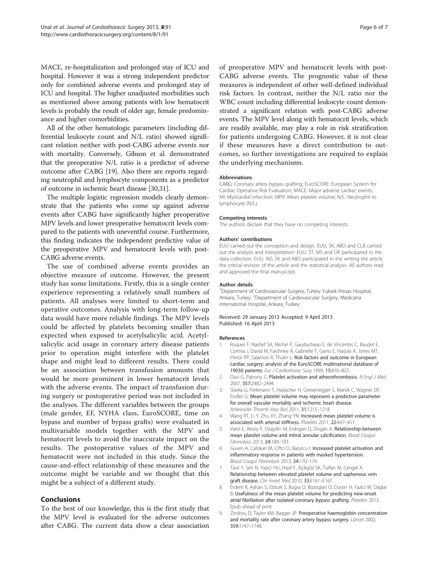<span id="page-5-0"></span>MACE, re-hospitalization and prolonged stay of ICU and hospital. However it was a strong independent predictor only for combined adverse events and prolonged stay of ICU and hospital. The higher unadjusted morbidities such as mentioned above among patients with low hematocrit levels is probably the result of older age, female predominance and higher comorbidities.

All of the other hematologic parameters (including differential leukocyte count and N/L ratio) showed significant relation neither with post-CABG adverse events nor with mortality. Conversely, Gibson et al. demonstrated that the preoperative N/L ratio is a predictor of adverse outcome after CABG [[19\]](#page-6-0). Also there are reports regarding neutrophil and lymphocyte components as a predictor of outcome in ischemic heart disease [\[30,31\]](#page-6-0).

The multiple logistic regression models clearly demonstrate that the patients who come up against adverse events after CABG have significantly higher preoperative MPV levels and lower preoperative hematocrit levels compared to the patients with uneventful course. Furthermore, this finding indicates the independent predictive value of the preoperative MPV and hematocrit levels with post-CABG adverse events.

The use of combined adverse events provides an objective measure of outcome. However, the present study has some limitations. Firstly, this is a single center experience representing a relatively small numbers of patients. All analyses were limited to short-term and operative outcomes. Analysis with long-term follow-up data would have more reliable findings. The MPV levels could be affected by platelets becoming smaller than expected when exposed to acetylsalicylic acid. Acetylsalicylic acid usage in coronary artery disease patients prior to operation might interfere with the platelet shape and might lead to different results. There could be an association between transfusion amounts that would be more prominent in lower hematocrit levels with the adverse events. The impact of transfusion during surgery or postoperative period was not included in the analyses. The different variables between the groups (male gender, EF, NYHA class, EuroSCORE, time on bypass and number of bypass grafts) were evaluated in multivariable models together with the MPV and hematocrit levels to avoid the inaccurate impact on the results. The postoperative values of the MPV and hematocrit were not included in this study. Since the cause-and-effect relationship of these measures and the outcome might be variable and we thought that this might be a subject of a different study.

# Conclusions

To the best of our knowledge, this is the first study that the MPV level is evaluated for the adverse outcomes after CABG. The current data show a clear association of preoperative MPV and hematocrit levels with post-CABG adverse events. The prognostic value of these measures is independent of other well-defined individual risk factors. In contrast, neither the N/L ratio nor the WBC count including differential leukocyte count demonstrated a significant relation with post-CABG adverse events. The MPV level along with hematocrit levels, which are readily available, may play a role in risk stratification for patients undergoing CABG. However, it is not clear if these measures have a direct contribution to outcomes, so further investigations are required to explain the underlying mechanisms.

#### Abbreviations

CABG: Coronary artery bypass grafting; EuroSCORE: European System for Cardiac Operative Risk Evaluation; MACE: Major adverse cardiac events; MI: Myocardial infarction; MPV: Mean platelet volume; N/L: Neutrophil to lymphocyte (N/L).

#### Competing interests

The authors declare that they have no competing interests.

#### Authors' contributions

EUU carried out the conception and design. EUU, SK, ABD and CLB carried out the analysis and interpretation. EUU, ST, MS and ÜK participated in the data collection. EUU, AO, SK and ABD participated in the writing the article, the critical revision of the article and the statistical analysis. All authors read and approved the final manuscript.

#### Author details

<sup>1</sup>Department of Cardiovascular Surgery, Turkey Yuksek Ihtisas Hospital Ankara, Turkey. <sup>2</sup> Department of Cardiovascular Surgery, Medicana International Hospital, Ankara, Turkey.

#### Received: 29 January 2013 Accepted: 9 April 2013 Published: 16 April 2013

#### References

- 1. Roques F, Nashef SA, Michel P, Gauducheau E, de Vincentiis C, Baudet E, Cortina J, David M, Faichney A, Gabrielle F, Gams E, Harjula A, Jones MT, Pintor PP, Salamon R, Thulin L: Risk factors and outcome in European cardiac surgery: analysis of the EuroSCORE multinational database of 19030 patients. Eur J Cardiothorac Surg 1999, 15:816-822.
- 2. Davi G, Patrono C: Platelet activation and atherothrombosis. N Engl J Med 2007, 357:2482–2494.
- 3. Slavka G, Perkmann T, Haslacher H, Greisenegger S, Marsik C, Wagner OF, Endler G: Mean platelet volume may represent a predictive parameter for overall vascular mortality and ischemic heart disease. Arterioscler Thromb Vasc Biol 2011, 31:1215–1218.
- 4. Wang RT, Li Y, Zhu XY, Zhang YN: Increased mean platelet volume is associated with arterial stiffness. Platelets 2011, 22:447–451.
- 5. Varol E, Aksoy F, Ozaydin M, Erdogan D, Dogan A: Relationship between mean platelet volume and mitral annular calcification. Blood Coagul Fibrinolysis 2013, 24:189–193.
- 6. Guven A, Caliskan M, Ciftci O, Barutcu I: Increased platelet activation and inflammatory response in patients with masked hypertension. Blood Coagul Fibrinolysis 2013, 24:170–174.
- 7. Tavil Y, Sen N, Yazici HU, Hizal F, Açikgöz SK, Turfan M, Cengel A: Relationship between elevated platelet volume and saphenous vein graft disease. Clin Invest Med 2010, 33:E161-E167.
- 8. Erdem K, Ayhan S, Ozturk S, Bugra O, Bozoglan O, Dursin H, Yazici M, Daglar B: Usefulness of the mean platelet volume for predicting new-onset atrial fibrillation after isolated coronary bypass grafting. Platelets 2013, Epub ahead of print.
- 9. Zindrou D, Taylor KM, Bagger JP: Preoperative haemoglobin concentration and mortality rate after coronary artery bypass surgery. Lancet 2002, 359:1747–1748.